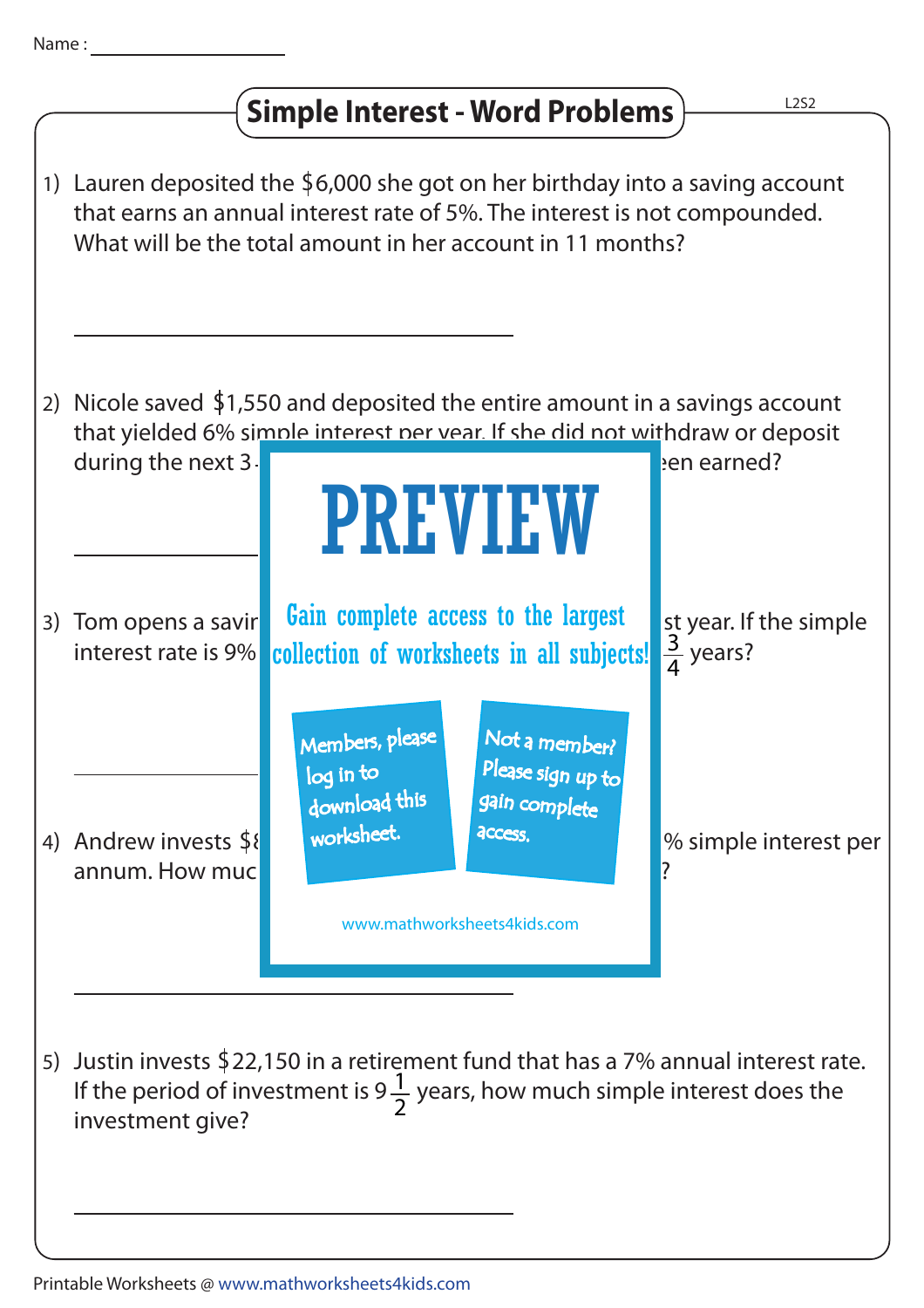

## **Simple Interest - Word Problems**





annum. How much interest will he receive after years? Members, please download this worksheet. log in to Not a member? gain complete Please sign up to **access** 

4

3

www.mathworksheets4kids.com

% simple interest per

5) Justin invests  $$22,150$  in a retirement fund that has a 7% annual interest rate. If the period of investment is 9 $\frac{1}{2}$  years, how much simple interest does the investment give? 2

4) Andrew invests \$8